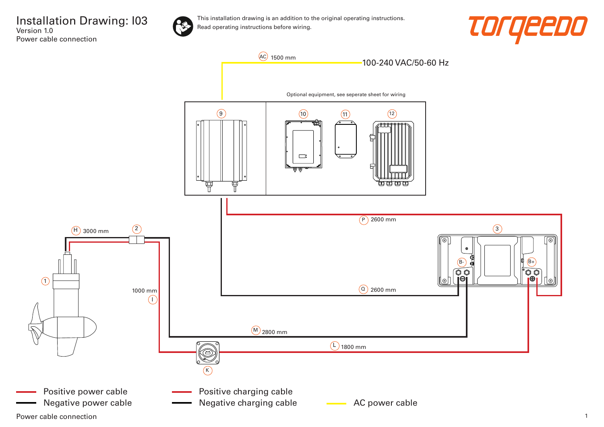



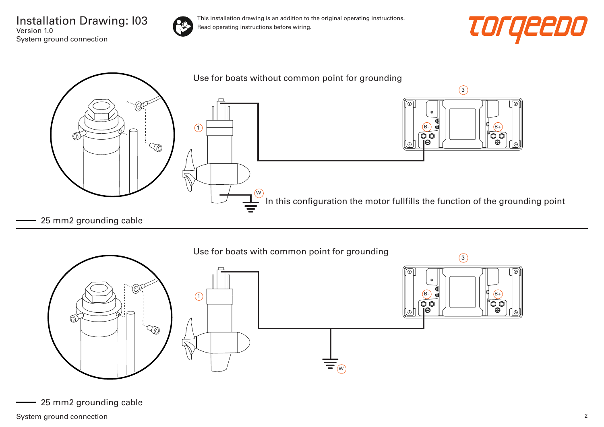Installation Drawing: I03 Version 1.0 System ground connection



This installation drawing is an addition to the original operating instructions. Read operating instructions before wiring.







25 mm2 grounding cable

System ground connection 2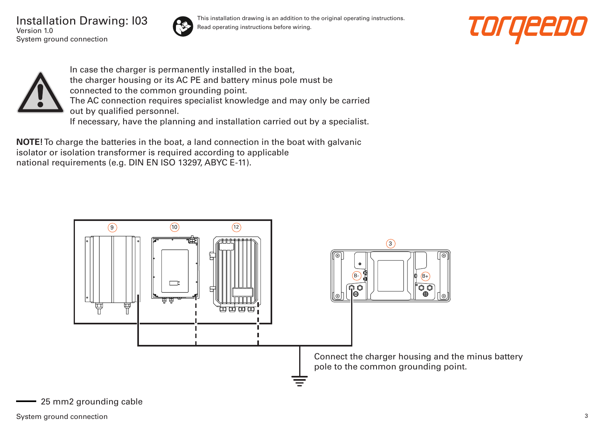Installation Drawing: I03 Version 1.0 System ground connection



This installation drawing is an addition to the original operating instructions. Read operating instructions before wiring.





In case the charger is permanently installed in the boat, the charger housing or its AC PE and battery minus pole must be connected to the common grounding point. The AC connection requires specialist knowledge and may only be carried out by qualified personnel. If necessary, have the planning and installation carried out by a specialist.

**NOTE!** To charge the batteries in the boat, a land connection in the boat with galvanic isolator or isolation transformer is required according to applicable national requirements (e.g. DIN EN ISO 13297, ABYC E-11).



25 mm2 grounding cable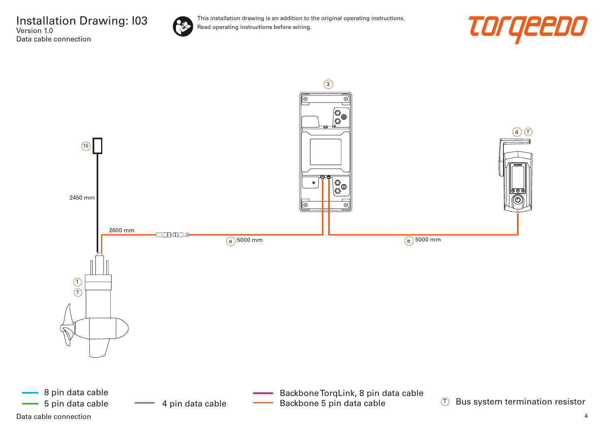![](_page_3_Picture_1.jpeg)

![](_page_3_Picture_3.jpeg)

![](_page_3_Figure_4.jpeg)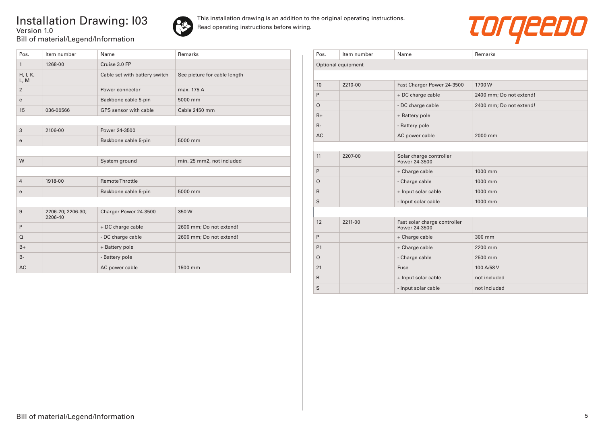## Installation Drawing: I03 Version 1.0 Bill of material/Legend/Information

![](_page_4_Picture_1.jpeg)

![](_page_4_Picture_3.jpeg)

| Pos.             | Item number                  | Name                          | Remarks                      |
|------------------|------------------------------|-------------------------------|------------------------------|
| $\mathbf{1}$     | 1268-00                      | Cruise 3.0 FP                 |                              |
| H, I, K,<br>L, M |                              | Cable set with battery switch | See picture for cable length |
| $\overline{2}$   |                              | Power connector               | max. 175 A                   |
| e                |                              | Backbone cable 5-pin          | 5000 mm                      |
| 15               | 036-00566                    | GPS sensor with cable         | Cable 2450 mm                |
|                  |                              |                               |                              |
| 3                | 2106-00                      | Power 24-3500                 |                              |
| e                |                              | Backbone cable 5-pin          | 5000 mm                      |
|                  |                              |                               |                              |
| W                |                              | System ground                 | min. 25 mm2, not included    |
|                  |                              |                               |                              |
| $\overline{4}$   | 1918-00                      | <b>Remote Throttle</b>        |                              |
| e                |                              | Backbone cable 5-pin          | 5000 mm                      |
|                  |                              |                               |                              |
| 9                | 2206-20; 2206-30;<br>2206-40 | Charger Power 24-3500         | 350W                         |
| P                |                              | + DC charge cable             | 2600 mm; Do not extend!      |
| $\Omega$         |                              | - DC charge cable             | 2600 mm; Do not extend!      |
| $B+$             |                              | + Battery pole                |                              |
| $B -$            |                              | - Battery pole                |                              |
| <b>AC</b>        |                              | AC power cable                | 1500 mm                      |

| Pos.               | Item number | Name                                          | Remarks                 |  |  |
|--------------------|-------------|-----------------------------------------------|-------------------------|--|--|
| Optional equipment |             |                                               |                         |  |  |
|                    |             |                                               |                         |  |  |
| 10                 | 2210-00     | Fast Charger Power 24-3500                    | 1700W                   |  |  |
| P                  |             | + DC charge cable                             | 2400 mm; Do not extend! |  |  |
| $\Omega$           |             | - DC charge cable                             | 2400 mm; Do not extend! |  |  |
| $B+$               |             | + Battery pole                                |                         |  |  |
| $B -$              |             | - Battery pole                                |                         |  |  |
| <b>AC</b>          |             | AC power cable                                | 2000 mm                 |  |  |
|                    |             |                                               |                         |  |  |
| 11                 | 2207-00     | Solar charge controller<br>Power 24-3500      |                         |  |  |
| P                  |             | + Charge cable                                | 1000 mm                 |  |  |
| $\Omega$           |             | - Charge cable                                | 1000 mm                 |  |  |
| $\mathsf{R}$       |             | + Input solar cable                           | 1000 mm                 |  |  |
| S                  |             | - Input solar cable                           | 1000 mm                 |  |  |
|                    |             |                                               |                         |  |  |
| 12                 | 2211-00     | Fast solar charge controller<br>Power 24-3500 |                         |  |  |
| P                  |             | + Charge cable                                | 300 mm                  |  |  |
| P <sub>1</sub>     |             | + Charge cable                                | 2200 mm                 |  |  |
| $\Omega$           |             | - Charge cable                                | 2500 mm                 |  |  |
| 21                 |             | Fuse                                          | 100 A/58 V              |  |  |
| $\mathsf{R}$       |             | + Input solar cable                           | not included            |  |  |
| S                  |             | - Input solar cable                           | not included            |  |  |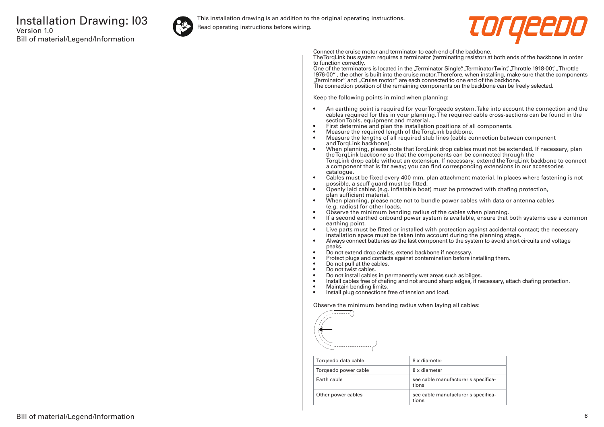![](_page_5_Picture_1.jpeg)

This installation drawing is an addition to the original operating instructions.

Read operating instructions before wiring.

![](_page_5_Picture_4.jpeg)

Connect the cruise motor and terminator to each end of the backbone.

The TorqLink bus system requires a terminator (terminating resistor) at both ends of the backbone in order to function correctly.

One of the terminators is located in the "Terminator Single", "Terminator Twin", "Throttle 1918-00", "Throttle 1976-00" , the other is built into the cruise motor. Therefore, when installing, make sure that the components "Terminator" and "Cruise motor" are each connected to one end of the backbone. The connection position of the remaining components on the backbone can be freely selected.

Keep the following points in mind when planning:

- An earthing point is required for your Torqeedo system. Take into account the connection and the cables required for this in your planning. The required cable cross-sections can be found in the section Tools, equipment and material.
- First determine and plan the installation positions of all components.
- Measure the required length of the TorqLink backbone.<br>• Measure the lengths of all required stub lines (cable co
- Measure the lengths of all required stub lines (cable connection between component and TorgLink backbone).
- When planning, please note that TorqLink drop cables must not be extended. If necessary, plan the TorqLink backbone so that the components can be connected through the TorqLink drop cable without an extension. If necessary, extend the TorqLink backbone to connect a component that is far away; you can find corresponding extensions in our accessories catalogue.
- Cables must be fixed every 400 mm, plan attachment material. In places where fastening is not possible, a scuff guard must be fitted.
- Openly laid cables (e.g. inflatable boat) must be protected with chafing protection, plan sufficient material.
- When planning, please note not to bundle power cables with data or antenna cables (e.g. radios) for other loads.
- Observe the minimum bending radius of the cables when planning.
- If a second earthed onboard power system is available, ensure that both systems use a common earthing point.
- Live parts must be fitted or installed with protection against accidental contact; the necessary installation space must be taken into account during the planning stage.
- Always connect batteries as the last component to the system to avoid short circuits and voltage peaks.
- Do not extend drop cables, extend backbone if necessary.
- Protect plugs and contacts against contamination before installing them.
- Do not pull at the cables.
- Do not twist cables.
- Do not install cables in permanently wet areas such as bilges.
- Install cables free of chafing and not around sharp edges, if necessary, attach chafing protection.<br>• Maintain bending limits
- Maintain bending limits.
- Install plug connections free of tension and load.

Observe the minimum bending radius when laying all cables:

![](_page_5_Figure_31.jpeg)

| Torgeedo data cable  | 8 x diameter                                 |
|----------------------|----------------------------------------------|
| Torgeedo power cable | 8 x diameter                                 |
| Farth cable          | see cable manufacturer's specifica-<br>tions |
| Other power cables   | see cable manufacturer's specifica-<br>tions |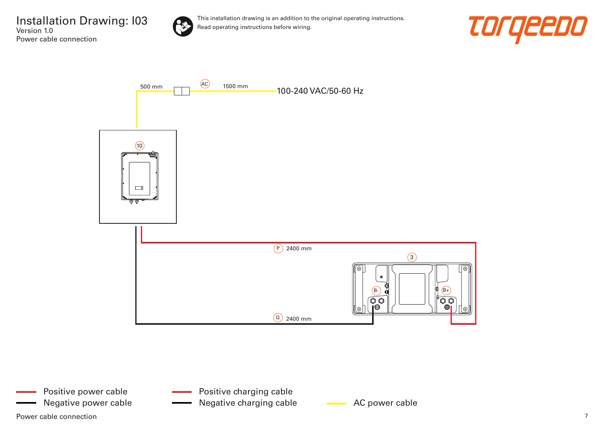![](_page_6_Picture_1.jpeg)

![](_page_6_Picture_3.jpeg)

![](_page_6_Figure_4.jpeg)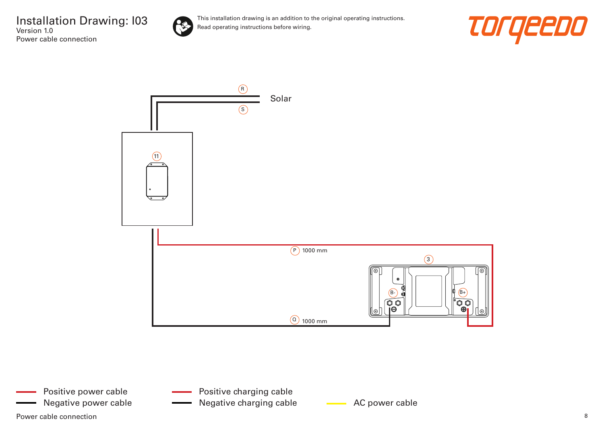![](_page_7_Picture_1.jpeg)

![](_page_7_Picture_3.jpeg)

![](_page_7_Figure_4.jpeg)

- Positive charging cable
- Negative power cable **AC AC power cable** Negative charging cable **AC** power cable